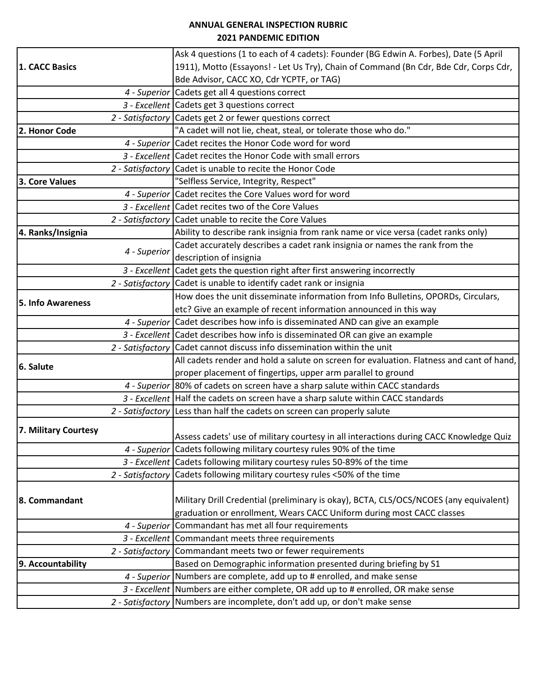## **ANNUAL GENERAL INSPECTION RUBRIC 2021 PANDEMIC EDITION**

|                      |              | Ask 4 questions (1 to each of 4 cadets): Founder (BG Edwin A. Forbes), Date (5 April     |
|----------------------|--------------|------------------------------------------------------------------------------------------|
| 1. CACC Basics       |              | 1911), Motto (Essayons! - Let Us Try), Chain of Command (Bn Cdr, Bde Cdr, Corps Cdr,     |
|                      |              | Bde Advisor, CACC XO, Cdr YCPTF, or TAG)                                                 |
|                      |              | 4 - Superior Cadets get all 4 questions correct                                          |
|                      |              | 3 - Excellent Cadets get 3 questions correct                                             |
|                      |              | 2 - Satisfactory Cadets get 2 or fewer questions correct                                 |
| 2. Honor Code        |              | "A cadet will not lie, cheat, steal, or tolerate those who do."                          |
|                      |              | 4 - Superior Cadet recites the Honor Code word for word                                  |
|                      |              | 3 - Excellent Cadet recites the Honor Code with small errors                             |
|                      |              | 2 - Satisfactory Cadet is unable to recite the Honor Code                                |
| 3. Core Values       |              | "Selfless Service, Integrity, Respect"                                                   |
|                      |              | 4 - Superior Cadet recites the Core Values word for word                                 |
|                      |              | 3 - Excellent Cadet recites two of the Core Values                                       |
|                      |              | 2 - Satisfactory Cadet unable to recite the Core Values                                  |
| 4. Ranks/Insignia    |              | Ability to describe rank insignia from rank name or vice versa (cadet ranks only)        |
|                      |              | Cadet accurately describes a cadet rank insignia or names the rank from the              |
|                      | 4 - Superior | description of insignia                                                                  |
|                      |              | 3 - Excellent Cadet gets the question right after first answering incorrectly            |
|                      |              | 2 - Satisfactory Cadet is unable to identify cadet rank or insignia                      |
|                      |              | How does the unit disseminate information from Info Bulletins, OPORDs, Circulars,        |
| 5. Info Awareness    |              | etc? Give an example of recent information announced in this way                         |
|                      |              | 4 - Superior Cadet describes how info is disseminated AND can give an example            |
|                      |              | 3 - Excellent Cadet describes how info is disseminated OR can give an example            |
|                      |              | 2 - Satisfactory Cadet cannot discuss info dissemination within the unit                 |
|                      |              | All cadets render and hold a salute on screen for evaluation. Flatness and cant of hand, |
| 6. Salute            |              | proper placement of fingertips, upper arm parallel to ground                             |
|                      |              | 4 - Superior 80% of cadets on screen have a sharp salute within CACC standards           |
|                      |              | 3 - Excellent Half the cadets on screen have a sharp salute within CACC standards        |
|                      |              | 2 - Satisfactory Less than half the cadets on screen can properly salute                 |
|                      |              |                                                                                          |
| 7. Military Courtesy |              | Assess cadets' use of military courtesy in all interactions during CACC Knowledge Quiz   |
|                      |              | 4 - Superior Cadets following military courtesy rules 90% of the time                    |
|                      |              | 3 - Excellent Cadets following military courtesy rules 50-89% of the time                |
|                      |              | 2 - Satisfactory Cadets following military courtesy rules <50% of the time               |
|                      |              |                                                                                          |
| 8. Commandant        |              | Military Drill Credential (preliminary is okay), BCTA, CLS/OCS/NCOES (any equivalent)    |
|                      |              | graduation or enrollment, Wears CACC Uniform during most CACC classes                    |
|                      |              | 4 - Superior Commandant has met all four requirements                                    |
|                      |              | 3 - Excellent Commandant meets three requirements                                        |
|                      |              | 2 - Satisfactory Commandant meets two or fewer requirements                              |
| 9. Accountability    |              | Based on Demographic information presented during briefing by S1                         |
|                      |              | 4 - Superior Numbers are complete, add up to # enrolled, and make sense                  |
|                      |              | 3 - Excellent Numbers are either complete, OR add up to # enrolled, OR make sense        |
|                      |              | 2 - Satisfactory Numbers are incomplete, don't add up, or don't make sense               |
|                      |              |                                                                                          |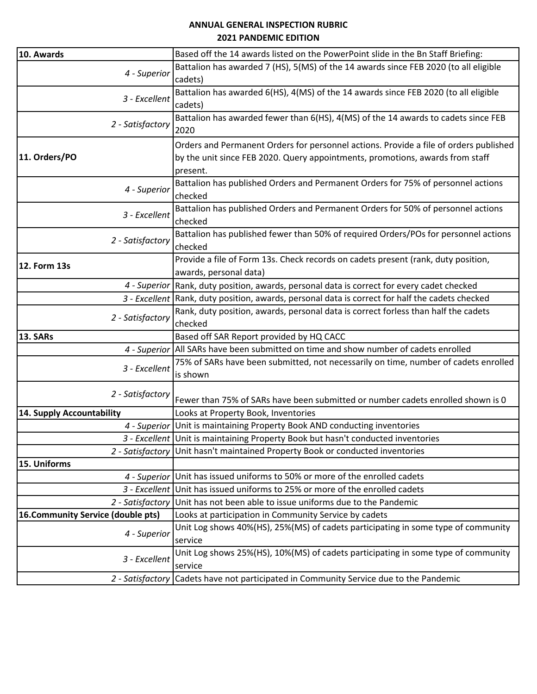## **ANNUAL GENERAL INSPECTION RUBRIC 2021 PANDEMIC EDITION**

| 10. Awards                        | Based off the 14 awards listed on the PowerPoint slide in the Bn Staff Briefing:                                                                                                   |
|-----------------------------------|------------------------------------------------------------------------------------------------------------------------------------------------------------------------------------|
| 4 - Superior                      | Battalion has awarded 7 (HS), 5(MS) of the 14 awards since FEB 2020 (to all eligible<br>cadets)                                                                                    |
| 3 - Excellent                     | Battalion has awarded 6(HS), 4(MS) of the 14 awards since FEB 2020 (to all eligible<br>cadets)                                                                                     |
| 2 - Satisfactory                  | Battalion has awarded fewer than 6(HS), 4(MS) of the 14 awards to cadets since FEB<br>2020                                                                                         |
| 11. Orders/PO                     | Orders and Permanent Orders for personnel actions. Provide a file of orders published<br>by the unit since FEB 2020. Query appointments, promotions, awards from staff<br>present. |
| 4 - Superior                      | Battalion has published Orders and Permanent Orders for 75% of personnel actions<br>checked                                                                                        |
| 3 - Excellent                     | Battalion has published Orders and Permanent Orders for 50% of personnel actions<br>checked                                                                                        |
| 2 - Satisfactory                  | Battalion has published fewer than 50% of required Orders/POs for personnel actions<br>checked                                                                                     |
| 12. Form 13s                      | Provide a file of Form 13s. Check records on cadets present (rank, duty position,<br>awards, personal data)                                                                        |
|                                   | 4 - Superior Rank, duty position, awards, personal data is correct for every cadet checked                                                                                         |
|                                   | 3 - Excellent Rank, duty position, awards, personal data is correct for half the cadets checked                                                                                    |
| 2 - Satisfactory                  | Rank, duty position, awards, personal data is correct forless than half the cadets<br>checked                                                                                      |
| <b>13. SARs</b>                   | Based off SAR Report provided by HQ CACC                                                                                                                                           |
|                                   | 4 - Superior   All SARs have been submitted on time and show number of cadets enrolled                                                                                             |
| 3 - Excellent                     | 75% of SARs have been submitted, not necessarily on time, number of cadets enrolled<br>is shown                                                                                    |
| 2 - Satisfactory                  | Fewer than 75% of SARs have been submitted or number cadets enrolled shown is 0                                                                                                    |
| 14. Supply Accountability         | Looks at Property Book, Inventories                                                                                                                                                |
|                                   | 4 - Superior Unit is maintaining Property Book AND conducting inventories                                                                                                          |
|                                   | 3 - Excellent Unit is maintaining Property Book but hasn't conducted inventories                                                                                                   |
|                                   | 2 - Satisfactory Unit hasn't maintained Property Book or conducted inventories                                                                                                     |
| 15. Uniforms                      |                                                                                                                                                                                    |
|                                   | 4 - Superior Unit has issued uniforms to 50% or more of the enrolled cadets                                                                                                        |
|                                   | 3 - Excellent Unit has issued uniforms to 25% or more of the enrolled cadets                                                                                                       |
| 2 - Satisfactory                  | Unit has not been able to issue uniforms due to the Pandemic                                                                                                                       |
| 16.Community Service (double pts) | Looks at participation in Community Service by cadets                                                                                                                              |
| 4 - Superior                      | Unit Log shows 40%(HS), 25%(MS) of cadets participating in some type of community<br>service                                                                                       |
| 3 - Excellent                     | Unit Log shows 25%(HS), 10%(MS) of cadets participating in some type of community<br>service                                                                                       |
|                                   | 2 - Satisfactory Cadets have not participated in Community Service due to the Pandemic                                                                                             |